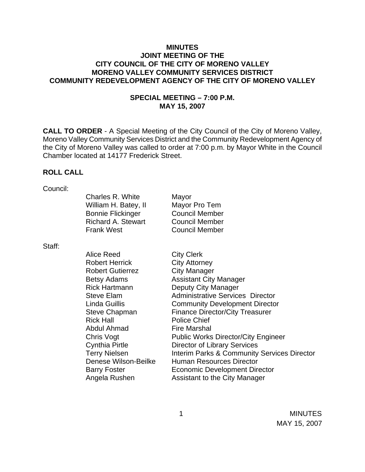## **MINUTES JOINT MEETING OF THE CITY COUNCIL OF THE CITY OF MORENO VALLEY MORENO VALLEY COMMUNITY SERVICES DISTRICT COMMUNITY REDEVELOPMENT AGENCY OF THE CITY OF MORENO VALLEY**

#### **SPECIAL MEETING – 7:00 P.M. MAY 15, 2007**

**CALL TO ORDER** - A Special Meeting of the City Council of the City of Moreno Valley, Moreno Valley Community Services District and the Community Redevelopment Agency of the City of Moreno Valley was called to order at 7:00 p.m. by Mayor White in the Council Chamber located at 14177 Frederick Street.

#### **ROLL CALL**

| Council: |                           |                                                        |
|----------|---------------------------|--------------------------------------------------------|
|          | <b>Charles R. White</b>   | Mayor                                                  |
|          | William H. Batey, II      | Mayor Pro Tem                                          |
|          | <b>Bonnie Flickinger</b>  | <b>Council Member</b>                                  |
|          | <b>Richard A. Stewart</b> | <b>Council Member</b>                                  |
|          | <b>Frank West</b>         | <b>Council Member</b>                                  |
| Staff:   |                           |                                                        |
|          | Alice Reed                | <b>City Clerk</b>                                      |
|          | <b>Robert Herrick</b>     | <b>City Attorney</b>                                   |
|          | <b>Robert Gutierrez</b>   | <b>City Manager</b>                                    |
|          | <b>Betsy Adams</b>        | <b>Assistant City Manager</b>                          |
|          | <b>Rick Hartmann</b>      | Deputy City Manager                                    |
|          | <b>Steve Elam</b>         | <b>Administrative Services Director</b>                |
|          | <b>Linda Guillis</b>      | <b>Community Development Director</b>                  |
|          | <b>Steve Chapman</b>      | <b>Finance Director/City Treasurer</b>                 |
|          | <b>Rick Hall</b>          | <b>Police Chief</b>                                    |
|          | Abdul Ahmad               | <b>Fire Marshal</b>                                    |
|          | Chris Vogt                | <b>Public Works Director/City Engineer</b>             |
|          | Cynthia Pirtle            | <b>Director of Library Services</b>                    |
|          | <b>Terry Nielsen</b>      | <b>Interim Parks &amp; Community Services Director</b> |
|          | Denese Wilson-Beilke      | <b>Human Resources Director</b>                        |
|          | <b>Barry Foster</b>       | <b>Economic Development Director</b>                   |
|          | Angela Rushen             | Assistant to the City Manager                          |